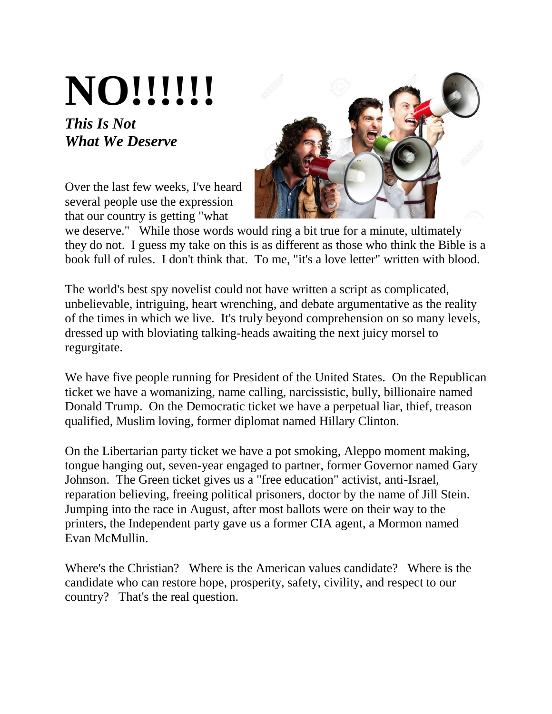## **NO!!!!!!**

## *This Is Not What We Deserve*

Over the last few weeks, I've heard several people use the expression that our country is getting "what



we deserve." While those words would ring a bit true for a minute, ultimately they do not. I guess my take on this is as different as those who think the Bible is a book full of rules. I don't think that. To me, "it's a love letter" written with blood.

The world's best spy novelist could not have written a script as complicated, unbelievable, intriguing, heart wrenching, and debate argumentative as the reality of the times in which we live. It's truly beyond comprehension on so many levels, dressed up with bloviating talking-heads awaiting the next juicy morsel to regurgitate.

We have five people running for President of the United States. On the Republican ticket we have a womanizing, name calling, narcissistic, bully, billionaire named Donald Trump. On the Democratic ticket we have a perpetual liar, thief, treason qualified, Muslim loving, former diplomat named Hillary Clinton.

On the Libertarian party ticket we have a pot smoking, Aleppo moment making, tongue hanging out, seven-year engaged to partner, former Governor named Gary Johnson. The Green ticket gives us a "free education" activist, anti-Israel, reparation believing, freeing political prisoners, doctor by the name of Jill Stein. Jumping into the race in August, after most ballots were on their way to the printers, the Independent party gave us a former CIA agent, a Mormon named Evan McMullin.

Where's the Christian? Where is the American values candidate? Where is the candidate who can restore hope, prosperity, safety, civility, and respect to our country? That's the real question.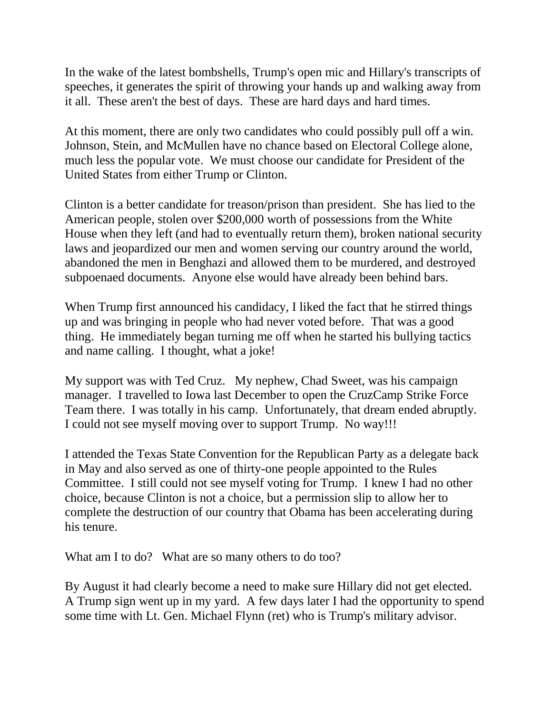In the wake of the latest bombshells, Trump's open mic and Hillary's transcripts of speeches, it generates the spirit of throwing your hands up and walking away from it all. These aren't the best of days. These are hard days and hard times.

At this moment, there are only two candidates who could possibly pull off a win. Johnson, Stein, and McMullen have no chance based on Electoral College alone, much less the popular vote. We must choose our candidate for President of the United States from either Trump or Clinton.

Clinton is a better candidate for treason/prison than president. She has lied to the American people, stolen over \$200,000 worth of possessions from the White House when they left (and had to eventually return them), broken national security laws and jeopardized our men and women serving our country around the world, abandoned the men in Benghazi and allowed them to be murdered, and destroyed subpoenaed documents. Anyone else would have already been behind bars.

When Trump first announced his candidacy, I liked the fact that he stirred things up and was bringing in people who had never voted before. That was a good thing. He immediately began turning me off when he started his bullying tactics and name calling. I thought, what a joke!

My support was with Ted Cruz. My nephew, Chad Sweet, was his campaign manager. I travelled to Iowa last December to open the CruzCamp Strike Force Team there. I was totally in his camp. Unfortunately, that dream ended abruptly. I could not see myself moving over to support Trump. No way!!!

I attended the Texas State Convention for the Republican Party as a delegate back in May and also served as one of thirty-one people appointed to the Rules Committee. I still could not see myself voting for Trump. I knew I had no other choice, because Clinton is not a choice, but a permission slip to allow her to complete the destruction of our country that Obama has been accelerating during his tenure.

What am I to do? What are so many others to do too?

By August it had clearly become a need to make sure Hillary did not get elected. A Trump sign went up in my yard. A few days later I had the opportunity to spend some time with Lt. Gen. Michael Flynn (ret) who is Trump's military advisor.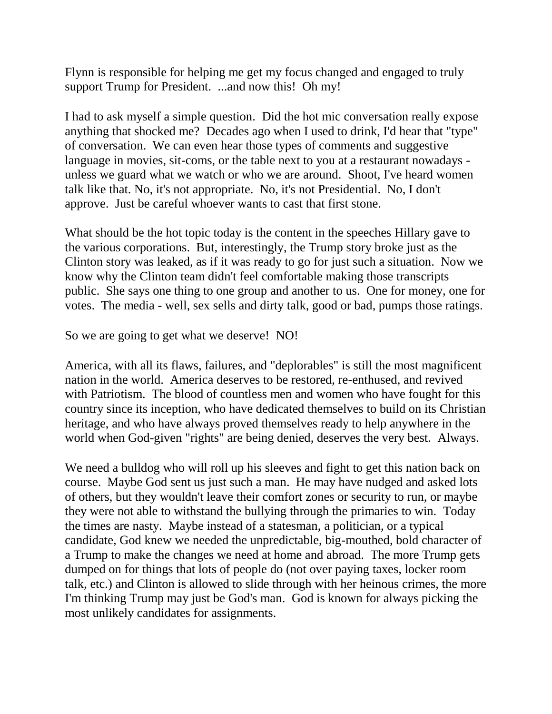Flynn is responsible for helping me get my focus changed and engaged to truly support Trump for President. ...and now this! Oh my!

I had to ask myself a simple question. Did the hot mic conversation really expose anything that shocked me? Decades ago when I used to drink, I'd hear that "type" of conversation. We can even hear those types of comments and suggestive language in movies, sit-coms, or the table next to you at a restaurant nowadays unless we guard what we watch or who we are around. Shoot, I've heard women talk like that. No, it's not appropriate. No, it's not Presidential. No, I don't approve. Just be careful whoever wants to cast that first stone.

What should be the hot topic today is the content in the speeches Hillary gave to the various corporations. But, interestingly, the Trump story broke just as the Clinton story was leaked, as if it was ready to go for just such a situation. Now we know why the Clinton team didn't feel comfortable making those transcripts public. She says one thing to one group and another to us. One for money, one for votes. The media - well, sex sells and dirty talk, good or bad, pumps those ratings.

So we are going to get what we deserve! NO!

America, with all its flaws, failures, and "deplorables" is still the most magnificent nation in the world. America deserves to be restored, re-enthused, and revived with Patriotism. The blood of countless men and women who have fought for this country since its inception, who have dedicated themselves to build on its Christian heritage, and who have always proved themselves ready to help anywhere in the world when God-given "rights" are being denied, deserves the very best. Always.

We need a bulldog who will roll up his sleeves and fight to get this nation back on course. Maybe God sent us just such a man. He may have nudged and asked lots of others, but they wouldn't leave their comfort zones or security to run, or maybe they were not able to withstand the bullying through the primaries to win. Today the times are nasty. Maybe instead of a statesman, a politician, or a typical candidate, God knew we needed the unpredictable, big-mouthed, bold character of a Trump to make the changes we need at home and abroad. The more Trump gets dumped on for things that lots of people do (not over paying taxes, locker room talk, etc.) and Clinton is allowed to slide through with her heinous crimes, the more I'm thinking Trump may just be God's man. God is known for always picking the most unlikely candidates for assignments.